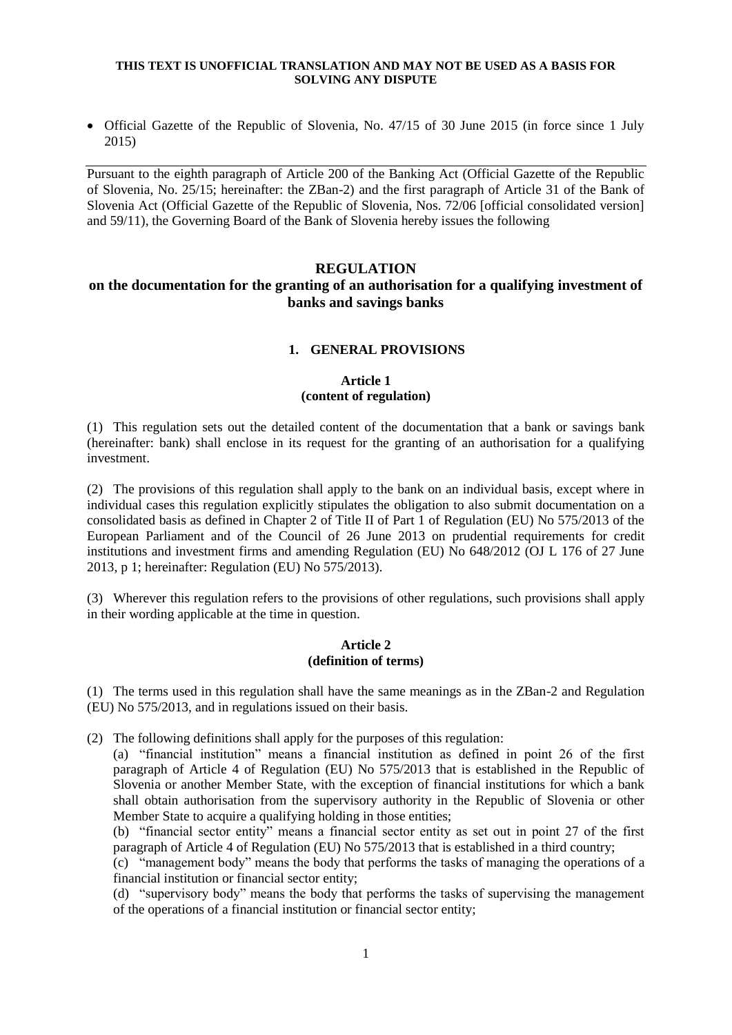• Official Gazette of the Republic of Slovenia, No. 47/15 of 30 June 2015 (in force since 1 July 2015)

Pursuant to the eighth paragraph of Article 200 of the Banking Act (Official Gazette of the Republic of Slovenia, No. 25/15; hereinafter: the ZBan-2) and the first paragraph of Article 31 of the Bank of Slovenia Act (Official Gazette of the Republic of Slovenia, Nos. 72/06 [official consolidated version] and 59/11), the Governing Board of the Bank of Slovenia hereby issues the following

#### **REGULATION**

## **on the documentation for the granting of an authorisation for a qualifying investment of banks and savings banks**

#### **1. GENERAL PROVISIONS**

## **Article 1 (content of regulation)**

(1) This regulation sets out the detailed content of the documentation that a bank or savings bank (hereinafter: bank) shall enclose in its request for the granting of an authorisation for a qualifying investment.

(2) The provisions of this regulation shall apply to the bank on an individual basis, except where in individual cases this regulation explicitly stipulates the obligation to also submit documentation on a consolidated basis as defined in Chapter 2 of Title II of Part 1 of Regulation (EU) No 575/2013 of the European Parliament and of the Council of 26 June 2013 on prudential requirements for credit institutions and investment firms and amending Regulation (EU) No 648/2012 (OJ L 176 of 27 June 2013, p 1; hereinafter: Regulation (EU) No 575/2013).

(3) Wherever this regulation refers to the provisions of other regulations, such provisions shall apply in their wording applicable at the time in question.

#### **Article 2 (definition of terms)**

(1) The terms used in this regulation shall have the same meanings as in the ZBan-2 and Regulation (EU) No 575/2013, and in regulations issued on their basis.

(2) The following definitions shall apply for the purposes of this regulation:

(a) "financial institution" means a financial institution as defined in point 26 of the first paragraph of Article 4 of Regulation (EU) No 575/2013 that is established in the Republic of Slovenia or another Member State, with the exception of financial institutions for which a bank shall obtain authorisation from the supervisory authority in the Republic of Slovenia or other Member State to acquire a qualifying holding in those entities;

(b) "financial sector entity" means a financial sector entity as set out in point 27 of the first paragraph of Article 4 of Regulation (EU) No 575/2013 that is established in a third country;

(c) "management body" means the body that performs the tasks of managing the operations of a financial institution or financial sector entity;

(d) "supervisory body" means the body that performs the tasks of supervising the management of the operations of a financial institution or financial sector entity;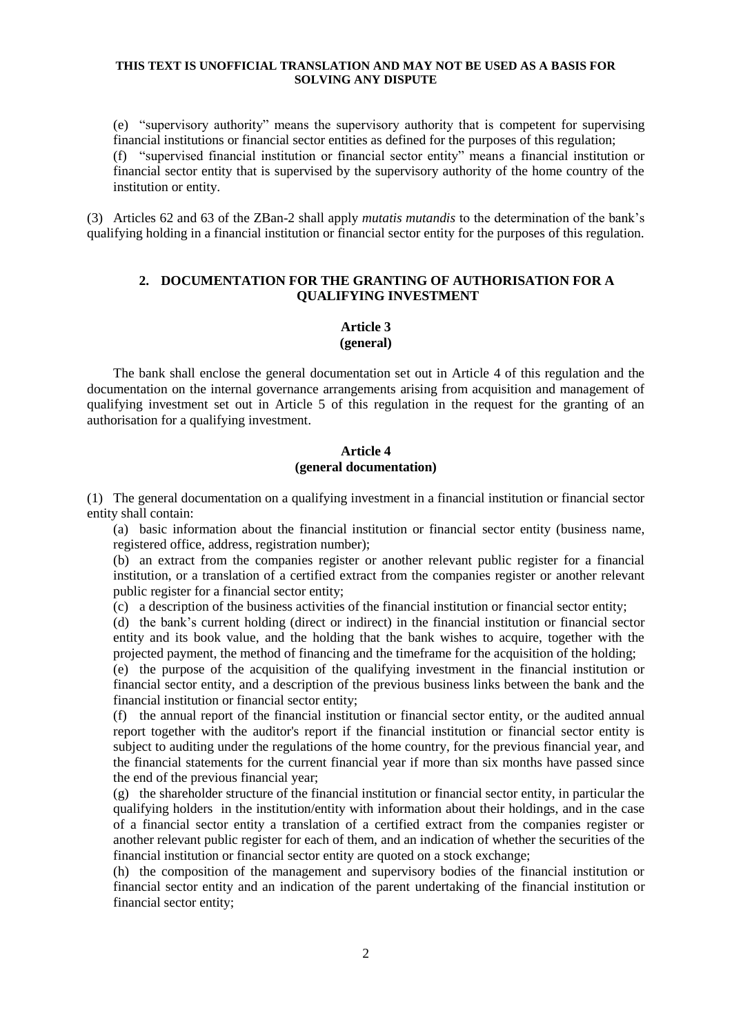(e) "supervisory authority" means the supervisory authority that is competent for supervising financial institutions or financial sector entities as defined for the purposes of this regulation; (f) "supervised financial institution or financial sector entity" means a financial institution or financial sector entity that is supervised by the supervisory authority of the home country of the institution or entity.

(3) Articles 62 and 63 of the ZBan-2 shall apply *mutatis mutandis* to the determination of the bank's qualifying holding in a financial institution or financial sector entity for the purposes of this regulation.

## **2. DOCUMENTATION FOR THE GRANTING OF AUTHORISATION FOR A QUALIFYING INVESTMENT**

# **Article 3**

## **(general)**

The bank shall enclose the general documentation set out in Article 4 of this regulation and the documentation on the internal governance arrangements arising from acquisition and management of qualifying investment set out in Article 5 of this regulation in the request for the granting of an authorisation for a qualifying investment.

## **Article 4 (general documentation)**

(1) The general documentation on a qualifying investment in a financial institution or financial sector entity shall contain:

(a) basic information about the financial institution or financial sector entity (business name, registered office, address, registration number);

(b) an extract from the companies register or another relevant public register for a financial institution, or a translation of a certified extract from the companies register or another relevant public register for a financial sector entity;

(c) a description of the business activities of the financial institution or financial sector entity;

(d) the bank's current holding (direct or indirect) in the financial institution or financial sector entity and its book value, and the holding that the bank wishes to acquire, together with the projected payment, the method of financing and the timeframe for the acquisition of the holding;

(e) the purpose of the acquisition of the qualifying investment in the financial institution or financial sector entity, and a description of the previous business links between the bank and the financial institution or financial sector entity;

(f) the annual report of the financial institution or financial sector entity, or the audited annual report together with the auditor's report if the financial institution or financial sector entity is subject to auditing under the regulations of the home country, for the previous financial year, and the financial statements for the current financial year if more than six months have passed since the end of the previous financial year;

(g) the shareholder structure of the financial institution or financial sector entity, in particular the qualifying holders in the institution/entity with information about their holdings, and in the case of a financial sector entity a translation of a certified extract from the companies register or another relevant public register for each of them, and an indication of whether the securities of the financial institution or financial sector entity are quoted on a stock exchange;

(h) the composition of the management and supervisory bodies of the financial institution or financial sector entity and an indication of the parent undertaking of the financial institution or financial sector entity;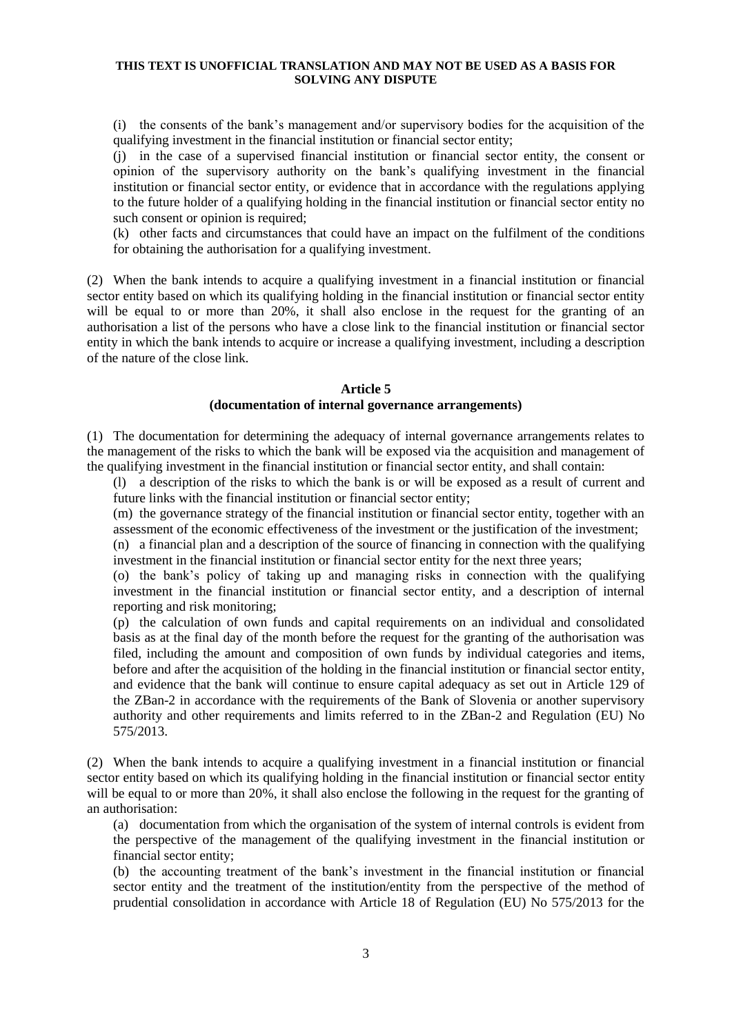(i) the consents of the bank's management and/or supervisory bodies for the acquisition of the qualifying investment in the financial institution or financial sector entity;

(j) in the case of a supervised financial institution or financial sector entity, the consent or opinion of the supervisory authority on the bank's qualifying investment in the financial institution or financial sector entity, or evidence that in accordance with the regulations applying to the future holder of a qualifying holding in the financial institution or financial sector entity no such consent or opinion is required;

(k) other facts and circumstances that could have an impact on the fulfilment of the conditions for obtaining the authorisation for a qualifying investment.

(2) When the bank intends to acquire a qualifying investment in a financial institution or financial sector entity based on which its qualifying holding in the financial institution or financial sector entity will be equal to or more than 20%, it shall also enclose in the request for the granting of an authorisation a list of the persons who have a close link to the financial institution or financial sector entity in which the bank intends to acquire or increase a qualifying investment, including a description of the nature of the close link.

## **Article 5 (documentation of internal governance arrangements)**

(1) The documentation for determining the adequacy of internal governance arrangements relates to the management of the risks to which the bank will be exposed via the acquisition and management of the qualifying investment in the financial institution or financial sector entity, and shall contain:

(l) a description of the risks to which the bank is or will be exposed as a result of current and future links with the financial institution or financial sector entity;

(m) the governance strategy of the financial institution or financial sector entity, together with an assessment of the economic effectiveness of the investment or the justification of the investment;

(n) a financial plan and a description of the source of financing in connection with the qualifying investment in the financial institution or financial sector entity for the next three years;

(o) the bank's policy of taking up and managing risks in connection with the qualifying investment in the financial institution or financial sector entity, and a description of internal reporting and risk monitoring;

(p) the calculation of own funds and capital requirements on an individual and consolidated basis as at the final day of the month before the request for the granting of the authorisation was filed, including the amount and composition of own funds by individual categories and items, before and after the acquisition of the holding in the financial institution or financial sector entity, and evidence that the bank will continue to ensure capital adequacy as set out in Article 129 of the ZBan-2 in accordance with the requirements of the Bank of Slovenia or another supervisory authority and other requirements and limits referred to in the ZBan-2 and Regulation (EU) No 575/2013.

(2) When the bank intends to acquire a qualifying investment in a financial institution or financial sector entity based on which its qualifying holding in the financial institution or financial sector entity will be equal to or more than 20%, it shall also enclose the following in the request for the granting of an authorisation:

(a) documentation from which the organisation of the system of internal controls is evident from the perspective of the management of the qualifying investment in the financial institution or financial sector entity;

(b) the accounting treatment of the bank's investment in the financial institution or financial sector entity and the treatment of the institution/entity from the perspective of the method of prudential consolidation in accordance with Article 18 of Regulation (EU) No 575/2013 for the